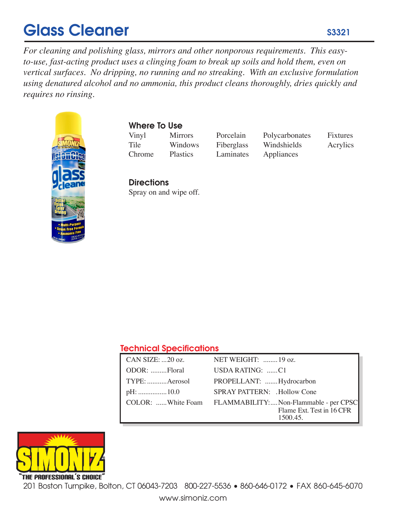# Glass Cleaner

*For cleaning and polishing glass, mirrors and other nonporous requirements. This easyto-use, fast-acting product uses a clinging foam to break up soils and hold them, even on vertical surfaces. No dripping, no running and no streaking. With an exclusive formulation using denatured alcohol and no ammonia, this product cleans thoroughly, dries quickly and requires no rinsing.*



# Where To Use

Vinyl Mirrors Porcelain Polycarbonates Fixtures Tile Windows Fiberglass Windshields Acrylics<br>Chrome Plastics Laminates Appliances Chrome Plastics Laminates Appliances

# **Directions** Spray on and wipe off.

# Technical Specifications

| CAN SIZE: 20 oz. | NET WEIGHT:  19 oz.                                     |
|------------------|---------------------------------------------------------|
| ODOR: Floral     | USDA RATING: C1                                         |
| TYPE: Aerosol    | PROPELLANT:  Hydrocarbon                                |
|                  | <b>SPRAY PATTERN:</b> .Hollow Cone                      |
|                  | COLOR: White Foam FLAMMABILITY:Non-Flammable - per CPSC |
|                  | Flame Ext. Test in 16 CFR<br>1500.45.                   |



201 Boston Turnpike, Bolton, CT 06043-7203 800-227-5536 • 860-646-0172 • FAX 860-645-6070

www.simoniz.com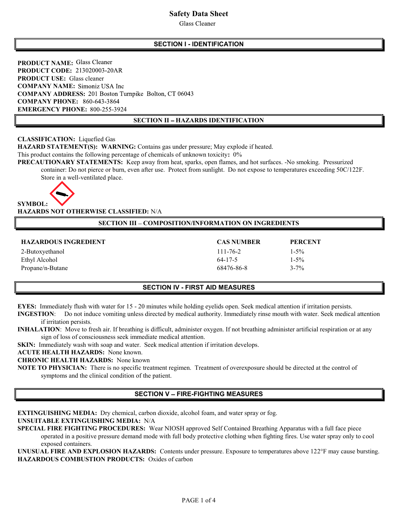# Safety Data Sheet

**Glass Cleaner** 

# SECTION I - IDENTIFICATION

PRODUCT NAME: Glass Cleaner PRODUCT CODE: 213020003-20AR PRODUCT USE: Glass cleaner COMPANY NAME: Simoniz USA Inc COMPANY ADDRESS: 201 Boston Turnpike Bolton, CT 06043 COMPANY PHONE: 860-643-3864 EMERGENCY PHONE: 800-255-3924

#### SECTION II - HAZARDS IDENTIFICATION

# CLASSIFICATION: Liquefied Gas

HAZARD STATEMENT(S): WARNING: Contains gas under pressure; May explode if heated.

This product contains the following percentage of chemicals of unknown toxicity: 0%

PRECAUTIONARY STATEMENTS: Keep away from heat, sparks, open flames, and hot surfaces. -No smoking. Pressurized container: Do not pierce or burn, even after use. Protect from sunlight. Do not expose to temperatures exceeding 50C/122F. Store in a well-ventilated place.



#### HAZARDS NOT OTHERWISE CLASSIFIED: N/A

# SECTION III - COMPOSITION/INFORMATION ON INGREDIENTS

| <b>HAZARDOUS INGREDIENT</b> | <b>CAS NUMBER</b> | <b>PERCENT</b> |
|-----------------------------|-------------------|----------------|
| 2-Butoxyethanol             | $111 - 76 - 2$    | $1 - 5\%$      |
| Ethyl Alcohol               | 64-17-5           | $1 - 5\%$      |
| Propane/n-Butane            | 68476-86-8        | $3 - 7\%$      |

#### SECTION IV - FIRST AID MEASURES

EYES: Immediately flush with water for 15 - 20 minutes while holding eyelids open. Seek medical attention if irritation persists.

INGESTION: Do not induce vomiting unless directed by medical authority. Immediately rinse mouth with water. Seek medical attention if irritation persists.

INHALATION: Move to fresh air. If breathing is difficult, administer oxygen. If not breathing administer artificial respiration or at any sign of loss of consciousness seek immediate medical attention.

SKIN: Immediately wash with soap and water. Seek medical attention if irritation develops.

ACUTE HEALTH HAZARDS: None known.

CHRONIC HEALTH HAZARDS: None known

NOTE TO PHYSICIAN: There is no specific treatment regimen. Treatment of overexposure should be directed at the control of symptoms and the clinical condition of the patient.

# **SECTION V - FIRE-FIGHTING MEASURES**

EXTINGUISHING MEDIA: Dry chemical, carbon dioxide, alcohol foam, and water spray or fog.

# UNSUITABLE EXTINGUISHING MEDIA: N/A

SPECIAL FIRE FIGHTING PROCEDURES: Wear NIOSH approved Self Contained Breathing Apparatus with a full face piece operated in a positive pressure demand mode with full body protective clothing when fighting fires. Use water spray only to cool exposed containers.

UNUSUAL FIRE AND EXPLOSION HAZARDS: Contents under pressure. Exposure to temperatures above 122°F may cause bursting. HAZARDOUS COMBUSTION PRODUCTS: Oxides of carbon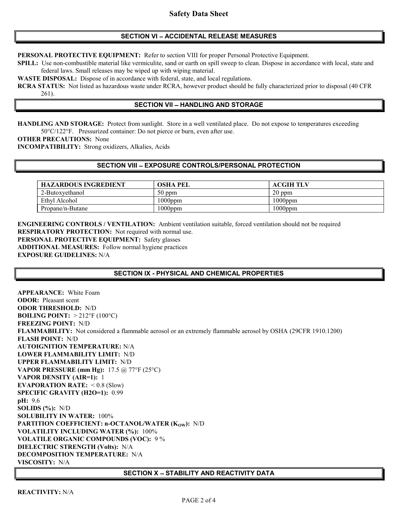#### SECTION VI - ACCIDENTAL RELEASE MEASURES

PERSONAL PROTECTIVE EQUIPMENT: Refer to section VIII for proper Personal Protective Equipment.

SPILL: Use non-combustible material like vermiculite, sand or earth on spill sweep to clean. Dispose in accordance with local, state and federal laws. Small releases may be wiped up with wiping material.

WASTE DISPOSAL: Dispose of in accordance with federal, state, and local regulations.

RCRA STATUS: Not listed as hazardous waste under RCRA, however product should be fully characterized prior to disposal (40 CFR 261).

#### **SECTION VII - HANDLING AND STORAGE**

HANDLING AND STORAGE: Protect from sunlight. Store in a well ventilated place. Do not expose to temperatures exceeding 50°C/122°F. Pressurized container: Do not pierce or burn, even after use.

OTHER PRECAUTIONS: None

INCOMPATIBILITY: Strong oxidizers, Alkalies, Acids

#### SECTION VIII - EXPOSURE CONTROLS/PERSONAL PROTECTION

| <b>HAZARDOUS INGREDIENT</b> | <b>OSHA PEL</b> | ACGIH TLV  |
|-----------------------------|-----------------|------------|
| 2-Butoxyethanol             | $50$ ppm        | $20$ ppm   |
| Ethyl Alcohol               | $1000$ ppm      | $1000$ ppm |
| Propane/n-Butane            | $1000$ ppm      | $1000$ ppm |

ENGINEERING CONTROLS / VENTILATION: Ambient ventilation suitable, forced ventilation should not be required RESPIRATORY PROTECTION: Not required with normal use. PERSONAL PROTECTIVE EQUIPMENT: Safety glasses ADDITIONAL MEASURES: Follow normal hygiene practices EXPOSURE GUIDELINES: N/A

# SECTION IX - PHYSICAL AND CHEMICAL PROPERTIES

APPEARANCE: White Foam ODOR: Pleasant scent ODOR THRESHOLD: N/D **BOILING POINT:**  $> 212^{\circ}F(100^{\circ}C)$ FREEZING POINT: N/D FLAMMABILITY: Not considered a flammable aerosol or an extremely flammable aerosol by OSHA (29CFR 1910.1200) FLASH POINT: N/D AUTOIGNITION TEMPERATURE: N/A LOWER FLAMMABILITY LIMIT: N/D UPPER FLAMMABILITY LIMIT: N/D VAPOR PRESSURE (mm Hg):  $17.5 \text{ (a)} 77^{\circ}F (25^{\circ}C)$ VAPOR DENSITY (AIR=1): 1 EVAPORATION RATE: < 0.8 (Slow) SPECIFIC GRAVITY (H2O=1): 0.99 pH: 9.6 SOLIDS  $(\%): N/D$ SOLUBILITY IN WATER: 100% PARTITION COEFFICIENT:  $n$ -OCTANOL/WATER (K<sub>OW</sub>): N/D VOLATILITY INCLUDING WATER (%): 100% VOLATILE ORGANIC COMPOUNDS (VOC): 9 % DIELECTRIC STRENGTH (Volts): N/A DECOMPOSITION TEMPERATURE: N/A VISCOSITY: N/A

# SECTION X - STABILITY AND REACTIVITY DATA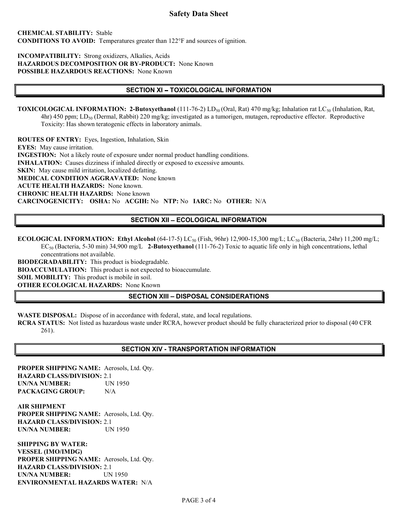# Safety Data Sheet

#### CHEMICAL STABILITY: Stable CONDITIONS TO AVOID: Temperatures greater than 122°F and sources of ignition.

#### INCOMPATIBILITY: Strong oxidizers, Alkalies, Acids HAZARDOUS DECOMPOSITION OR BY-PRODUCT: None Known POSSIBLE HAZARDOUS REACTIONS: None Known

#### SECTION XI - TOXICOLOGICAL INFORMATION

**TOXICOLOGICAL INFORMATION: 2-Butoxyethanol** (111-76-2) LD<sub>50</sub> (Oral, Rat) 470 mg/kg; Inhalation rat LC<sub>50</sub> (Inhalation, Rat,  $4$ hr) 450 ppm; LD<sub>50</sub> (Dermal, Rabbit) 220 mg/kg; investigated as a tumorigen, mutagen, reproductive effector. Reproductive Toxicity: Has shown teratogenic effects in laboratory animals.

ROUTES OF ENTRY: Eyes, Ingestion, Inhalation, Skin EYES: May cause irritation. INGESTION: Not a likely route of exposure under normal product handling conditions. INHALATION: Causes dizziness if inhaled directly or exposed to excessive amounts. SKIN: May cause mild irritation, localized defatting. MEDICAL CONDITION AGGRAVATED: None known ACUTE HEALTH HAZARDS: None known. CHRONIC HEALTH HAZARDS: None known CARCINOGENICITY: OSHA: No ACGIH: No NTP: No IARC: No OTHER: N/A

# SECTION XII - ECOLOGICAL INFORMATION

ECOLOGICAL INFORMATION: Ethyl Alcohol (64-17-5) LC<sub>50</sub> (Fish, 96hr) 12,900-15,300 mg/L; LC<sub>50</sub> (Bacteria, 24hr) 11,200 mg/L; EC<sub>50</sub> (Bacteria, 5-30 min) 34,900 mg/L 2-Butoxyethanol (111-76-2) Toxic to aquatic life only in high concentrations, lethal concentrations not available.

BIODEGRADABILITY: This product is biodegradable. BIOACCUMULATION: This product is not expected to bioaccumulate. SOIL MOBILITY: This product is mobile in soil. OTHER ECOLOGICAL HAZARDS: None Known

# SECTION XIII - DISPOSAL CONSIDERATIONS

WASTE DISPOSAL: Dispose of in accordance with federal, state, and local regulations.

RCRA STATUS: Not listed as hazardous waste under RCRA, however product should be fully characterized prior to disposal (40 CFR 261).

#### SECTION XIV - TRANSPORTATION INFORMATION

PROPER SHIPPING NAME: Aerosols, Ltd. Qty. HAZARD CLASS/DIVISION: 2.1 UN/NA NUMBER: UN 1950 PACKAGING GROUP: N/A

AIR SHIPMENT PROPER SHIPPING NAME: Aerosols, Ltd. Qty. HAZARD CLASS/DIVISION: 2.1 UN/NA NUMBER: UN 1950

SHIPPING BY WATER: VESSEL (IMO/IMDG) PROPER SHIPPING NAME: Aerosols, Ltd. Qty. HAZARD CLASS/DIVISION: 2.1 UN/NA NUMBER: UN 1950 ENVIRONMENTAL HAZARDS WATER: N/A